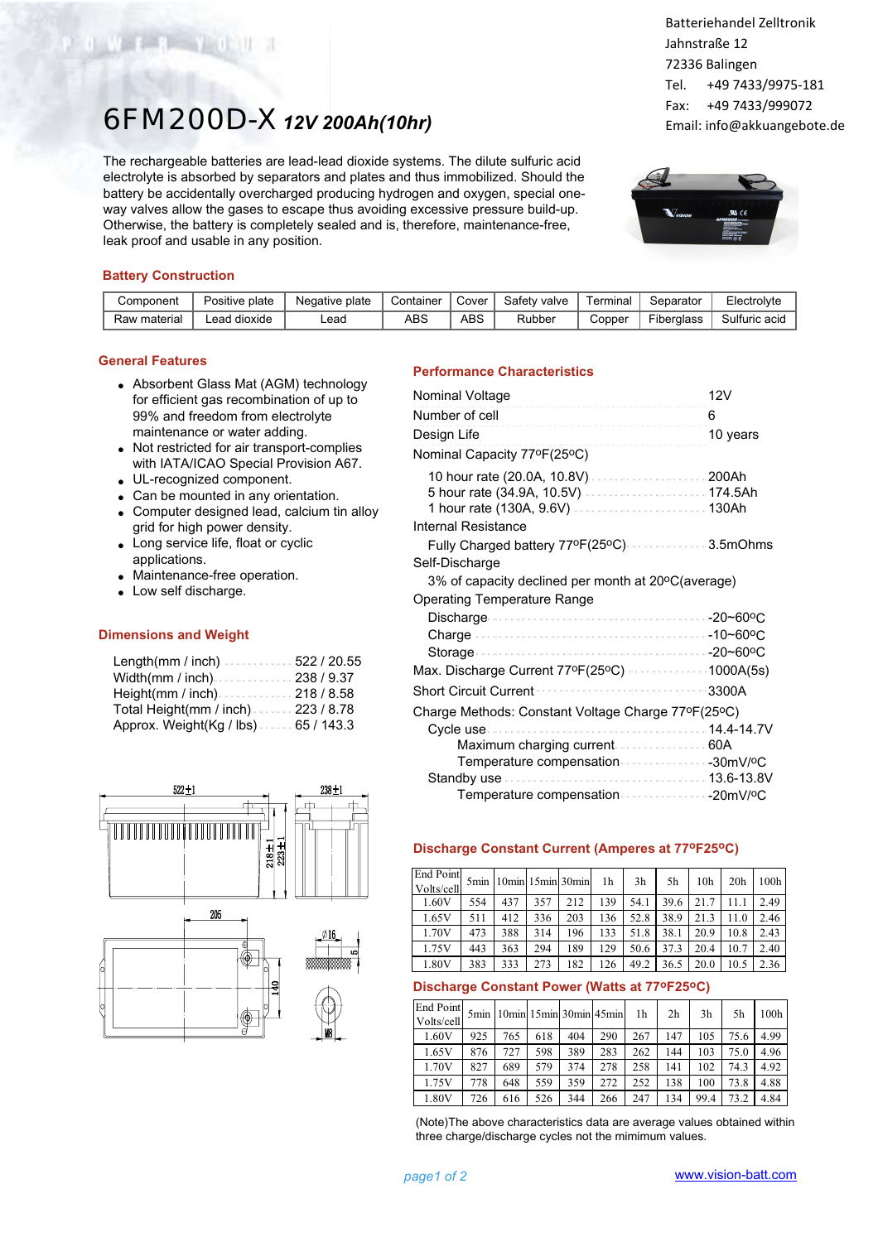# 6FM200D-X*12V 200Ah(10hr)*

The rechargeable batteries are lead-lead dioxide systems. The dilute sulfuric acid electrolyte is absorbed by separators and plates and thus immobilized. Should the battery be accidentally overcharged producing hydrogen and oxygen, special oneway valves allow the gases to escape thus avoiding excessive pressure build-up. Otherwise, the battery is completely sealed and is, therefore, maintenance-free, leak proof and usable in any position.

Batteriehandel Zelltronik Jahnstraße 12 72336 Balingen Tel. +49 7433/9975-181 Fax: +49 7433/999072 Email: info@akkuangebote.de



## **Battery Construction**

Waterpoor Will

| Component    | plate<br>Positive. | plate<br>Negative | Container | Cover | Safetv<br>valve | ermina | Separator         | <b>Liectrolvte</b> |
|--------------|--------------------|-------------------|-----------|-------|-----------------|--------|-------------------|--------------------|
| Raw material | dioxide<br>.ead    | Lead              | ABS       | ABS   | Rubber          | Copper | <b>Fiberglass</b> | Sulfuric<br>acid   |

## **General Features**

- Absorbent Glass Mat (AGM) technology for efficient gas recombination of up to 99% and freedom from electrolyte maintenance or water adding.
- Not restricted for air transport-complies with IATA/ICAO Special Provision A67.
- UL-recognized component.
- Can be mounted in any orientation.
- Computer designed lead, calcium tin alloy grid for high power density.
- Long service life, float or cyclic applications.
- Maintenance-free operation.
- Low self discharge.

#### **Dimensions and Weight**

| Length(mm / inch)522 / 20.55          |  |
|---------------------------------------|--|
|                                       |  |
| Height(mm / inch) $\ldots$ 218 / 8.58 |  |
| Total Height(mm / inch)223 / 8.78     |  |
| Approx. Weight(Kg / lbs). 65 / 143.3  |  |



## **Performance Characteristics**

| Nominal Voltage                                                   | 12V      |
|-------------------------------------------------------------------|----------|
| <br>Number of cell                                                | 6        |
| Design Life                                                       | 10 years |
| .<br>Nominal Capacity 77°F(25°C)                                  |          |
| 1 hour rate (130A, 9.6V)130Ah<br>Internal Resistance              |          |
| Fully Charged battery 77ºF(25ºC) 3.5mOhms                         |          |
| Self-Discharge                                                    |          |
| 3% of capacity declined per month at 20°C(average)                |          |
| Operating Temperature Range                                       |          |
|                                                                   |          |
|                                                                   |          |
|                                                                   |          |
| Max. Discharge Current 77ºF(25ºC) ················1000A(5s)       |          |
| <b>Short Circuit Current</b>                                      | 3300A    |
| Charge Methods: Constant Voltage Charge 77ºF(25ºC)                |          |
| Maximum charging current  60A<br>Temperature compensation 30mV/ºC |          |
|                                                                   |          |
|                                                                   |          |

## **Discharge Constant Current (Amperes at 77oF25oC)**

| End Point<br>Volts/cell | 5 <sub>min</sub> | 10min 15min 30min |     |     | 1h  | 3 <sub>h</sub> | 5h   | 10 <sub>h</sub> | 20 <sub>h</sub> | 100h |
|-------------------------|------------------|-------------------|-----|-----|-----|----------------|------|-----------------|-----------------|------|
| 1.60V                   | 554              | 437               | 357 | 212 | 139 | 54.1           | 39.6 | 21.7            | 11.1            | 2.49 |
| 1.65V                   | 511              | 412               | 336 | 203 | 136 | 52.8           | 38.9 | 21.3            | 11.0            | 2.46 |
| 1.70V                   | 473              | 388               | 314 | 196 | 133 | 51.8           | 38.1 | 20.9            | 10.8            | 2.43 |
| 1.75V                   | 443              | 363               | 294 | 189 | 129 | 50.6           | 37.3 | 20.4            | 10.7            | 2.40 |
| 1.80V                   | 383              | 333               | 273 | 182 | 126 | 49.2           | 36.5 | 20.0            | 10.5            | 2.36 |

## **Discharge Constant Power (Watts at 77oF25oC)**

| End Point<br>Volts/cell | 5 <sub>min</sub> |     |     | $10min$ $15min$ $30min$ $45min$ |     | 1h  | 2 <sub>h</sub> | 3 <sub>h</sub> | 5h   | 100h |
|-------------------------|------------------|-----|-----|---------------------------------|-----|-----|----------------|----------------|------|------|
| 1.60V                   | 925              | 765 | 618 | 404                             | 290 | 267 | 147            | 105            | 75.6 | 4.99 |
| 1.65V                   | 876              | 727 | 598 | 389                             | 283 | 262 | 144            | 103            | 75.0 | 4.96 |
| 1.70V                   | 827              | 689 | 579 | 374                             | 278 | 258 | 141            | 102            | 74.3 | 4.92 |
| 1.75V                   | 778              | 648 | 559 | 359                             | 272 | 252 | 138            | 100            | 73.8 | 4.88 |
| 1.80V                   | 726              | 616 | 526 | 344                             | 266 | 247 | 134            | 99.4           | 73.2 | 4.84 |

(Note)The above characteristics data are average values obtained within three charge/discharge cycles not the mimimum values.